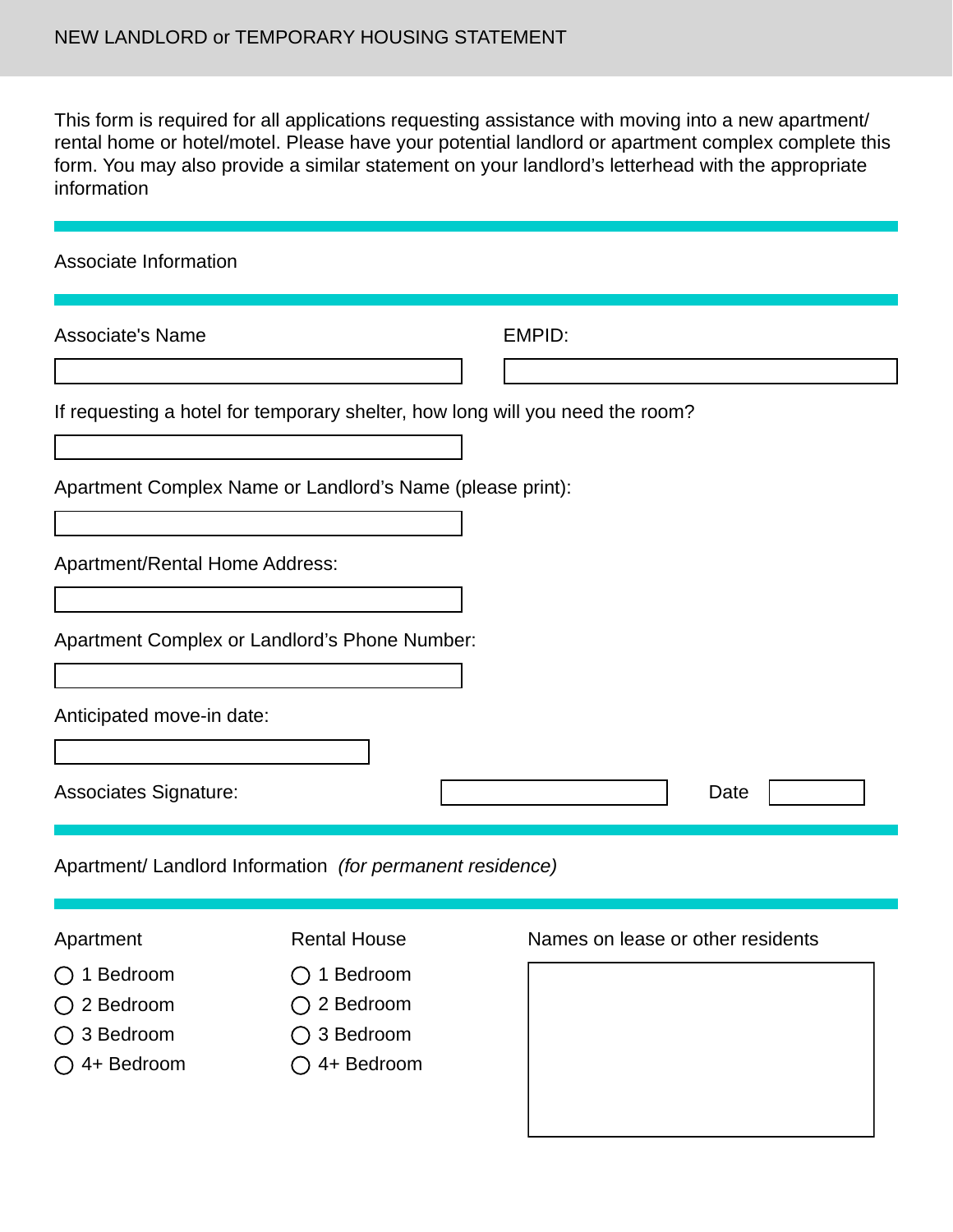This form is required for all applications requesting assistance with moving into a new apartment/ rental home or hotel/motel. Please have your potential landlord or apartment complex complete this form. You may also provide a similar statement on your landlord's letterhead with the appropriate information

| Associate Information                                                                                                                                                                                                                                                                                    |               |
|----------------------------------------------------------------------------------------------------------------------------------------------------------------------------------------------------------------------------------------------------------------------------------------------------------|---------------|
| <b>Associate's Name</b>                                                                                                                                                                                                                                                                                  | <b>EMPID:</b> |
| If requesting a hotel for temporary shelter, how long will you need the room?                                                                                                                                                                                                                            |               |
| Apartment Complex Name or Landlord's Name (please print):                                                                                                                                                                                                                                                |               |
| Apartment/Rental Home Address:                                                                                                                                                                                                                                                                           |               |
| Apartment Complex or Landlord's Phone Number:                                                                                                                                                                                                                                                            |               |
| Anticipated move-in date:                                                                                                                                                                                                                                                                                |               |
| <b>Associates Signature:</b>                                                                                                                                                                                                                                                                             | Date          |
| a contractor of the contract the famous of the co<br>$\alpha$ . In the set of the set of the set of the set of the set of the set of the set of the set of the set of the set of the set of the set of the set of the set of the set of the set of the set of the set of the set of th<br>$\mathbf{r}$ . |               |

Apartment/ Landlord Information *(for permanent residence)*

## Apartment

- 1 Bedroom
- 2 Bedroom
- 3 Bedroom
- 4+ Bedroom

## Rental House

- $\bigcirc$  1 Bedroom 2 Bedroom
- 
- 3 Bedroom
- 4+ Bedroom

## Names on lease or other residents